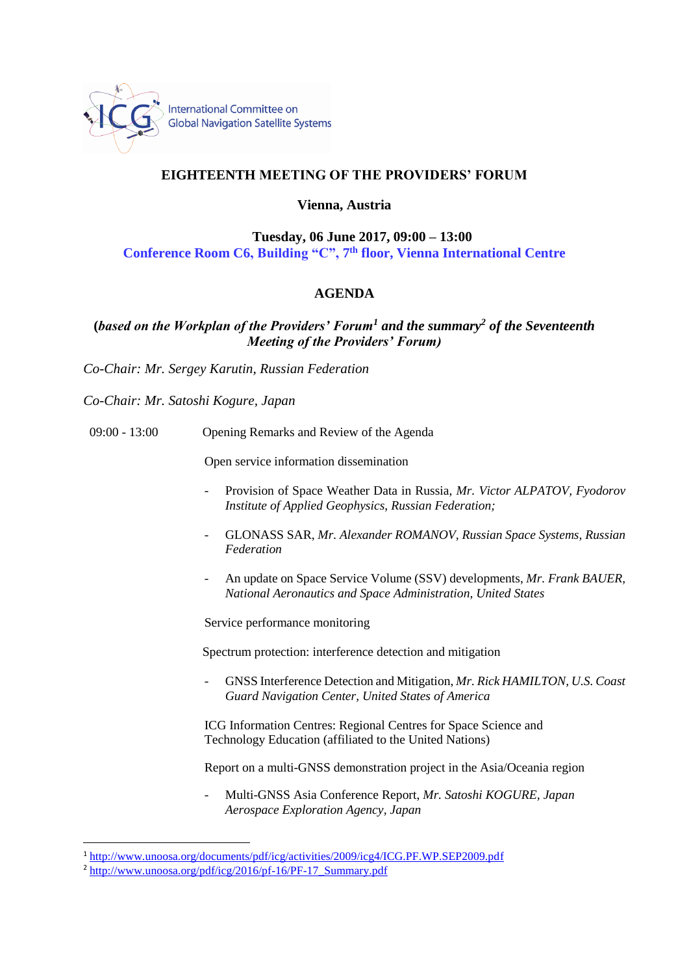

## **EIGHTEENTH MEETING OF THE PROVIDERS' FORUM**

**Vienna, Austria**

**Tuesday, 06 June 2017, 09:00 – 13:00 Conference Room C6, Building "C", 7 th floor, Vienna International Centre**

## **AGENDA**

**(***based on the Workplan of the Providers' Forum<sup>1</sup> and the summary<sup>2</sup> of the Seventeenth Meeting of the Providers' Forum)*

*Co-Chair: Mr. Sergey Karutin, Russian Federation*

*Co-Chair: Mr. Satoshi Kogure, Japan*

09:00 - 13:00 Opening Remarks and Review of the Agenda

Open service information dissemination

- Provision of Space Weather Data in Russia, *Mr. Victor ALPATOV, Fyodorov Institute of Applied Geophysics, Russian Federation;*
- GLONASS SAR, *Mr. Alexander ROMANOV, Russian Space Systems, Russian Federation*
- An update on Space Service Volume (SSV) developments, *Mr. Frank BAUER, National Aeronautics and Space Administration, United States*

Service performance monitoring

Spectrum protection: interference detection and mitigation

- GNSS Interference Detection and Mitigation, *Mr. Rick HAMILTON, U.S. Coast Guard Navigation Center, United States of America*

ICG Information Centres: Regional Centres for Space Science and Technology Education (affiliated to the United Nations)

Report on a multi-GNSS demonstration project in the Asia/Oceania region

- Multi-GNSS Asia Conference Report, *Mr. Satoshi KOGURE, Japan Aerospace Exploration Agency, Japan*

**.** 

<sup>1</sup> <http://www.unoosa.org/documents/pdf/icg/activities/2009/icg4/ICG.PF.WP.SEP2009.pdf>

<sup>&</sup>lt;sup>2</sup> [http://www.unoosa.org/pdf/icg/2016/pf-16/PF-17\\_Summary.pdf](http://www.unoosa.org/pdf/icg/2016/pf-16/PF-17_Summary.pdf)